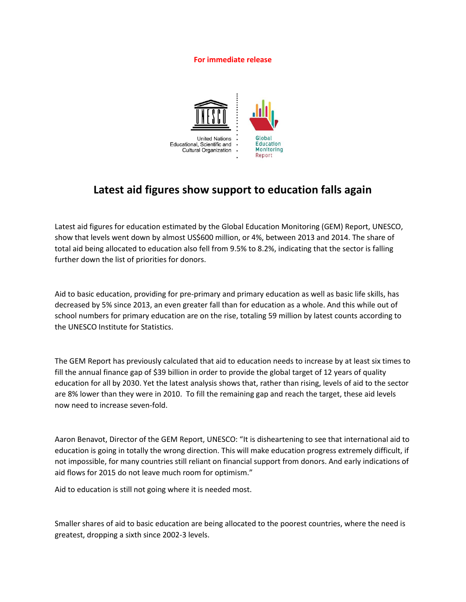## **For immediate release**



## **Latest aid figures show support to education falls again**

Latest aid figures for education estimated by the Global Education Monitoring (GEM) Report, UNESCO, show that levels went down by almost US\$600 million, or 4%, between 2013 and 2014. The share of total aid being allocated to education also fell from 9.5% to 8.2%, indicating that the sector is falling further down the list of priorities for donors.

Aid to basic education, providing for pre-primary and primary education as well as basic life skills, has decreased by 5% since 2013, an even greater fall than for education as a whole. And this while out of school numbers for primary education are on the rise, totaling 59 million by latest counts according to the UNESCO Institute for Statistics.

The GEM Report has previously calculated that aid to education needs to increase by at least six times to fill the annual finance gap of \$39 billion in order to provide the global target of 12 years of quality education for all by 2030. Yet the latest analysis shows that, rather than rising, levels of aid to the sector are 8% lower than they were in 2010. To fill the remaining gap and reach the target, these aid levels now need to increase seven-fold.

Aaron Benavot, Director of the GEM Report, UNESCO: "It is disheartening to see that international aid to education is going in totally the wrong direction. This will make education progress extremely difficult, if not impossible, for many countries still reliant on financial support from donors. And early indications of aid flows for 2015 do not leave much room for optimism."

Aid to education is still not going where it is needed most.

Smaller shares of aid to basic education are being allocated to the poorest countries, where the need is greatest, dropping a sixth since 2002-3 levels.